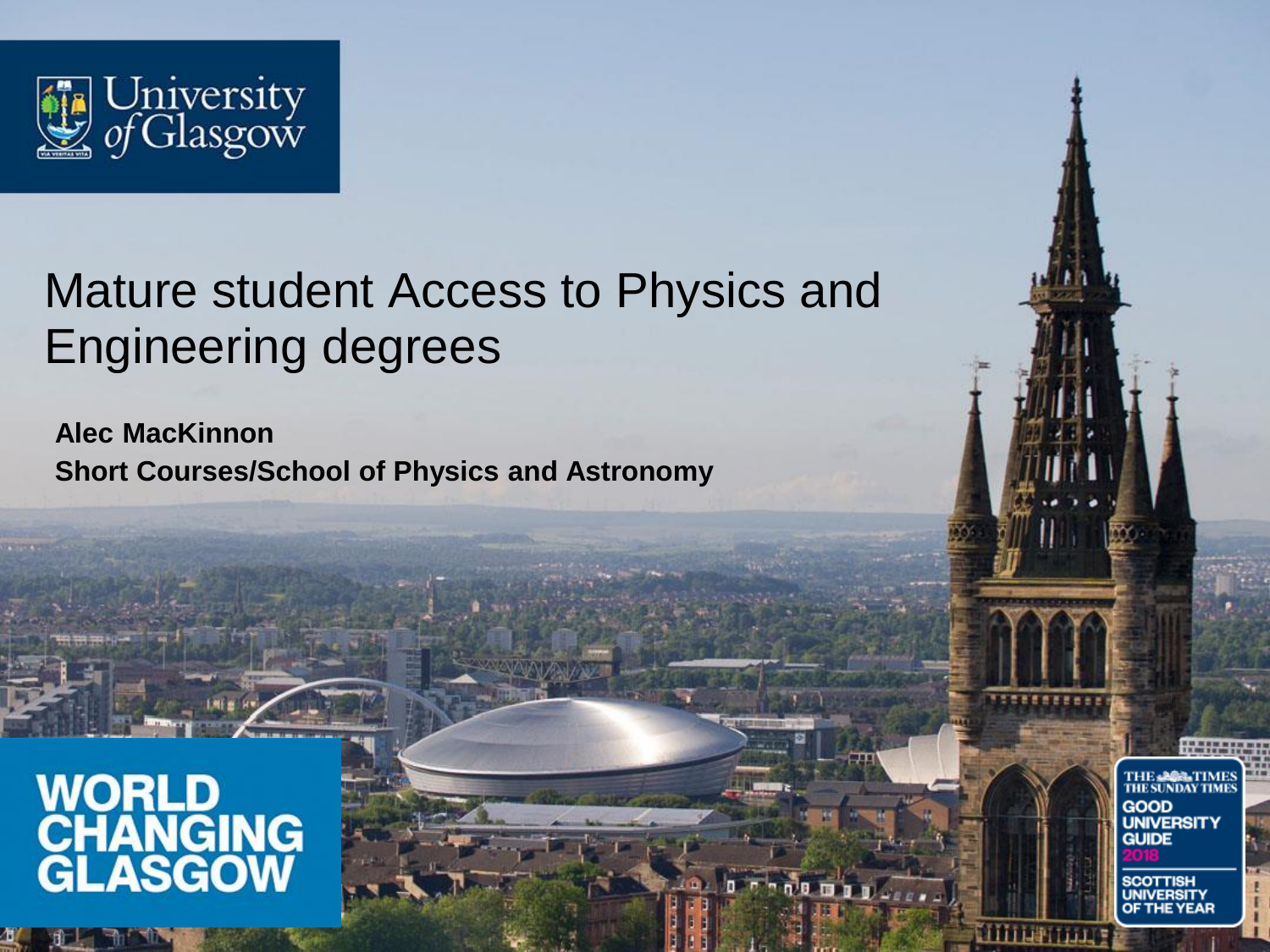

### Mature student Access to Physics and Engineering degrees

**Alec MacKinnon Short Courses/School of Physics and Astronomy**

# WORLD<br>CHANGING<br>GLASGOW

THE **-202-TIME**<br>THE SUNDAY TIME **GOOD**<br>UNIVERSITY **GUIDE** SCOTTISH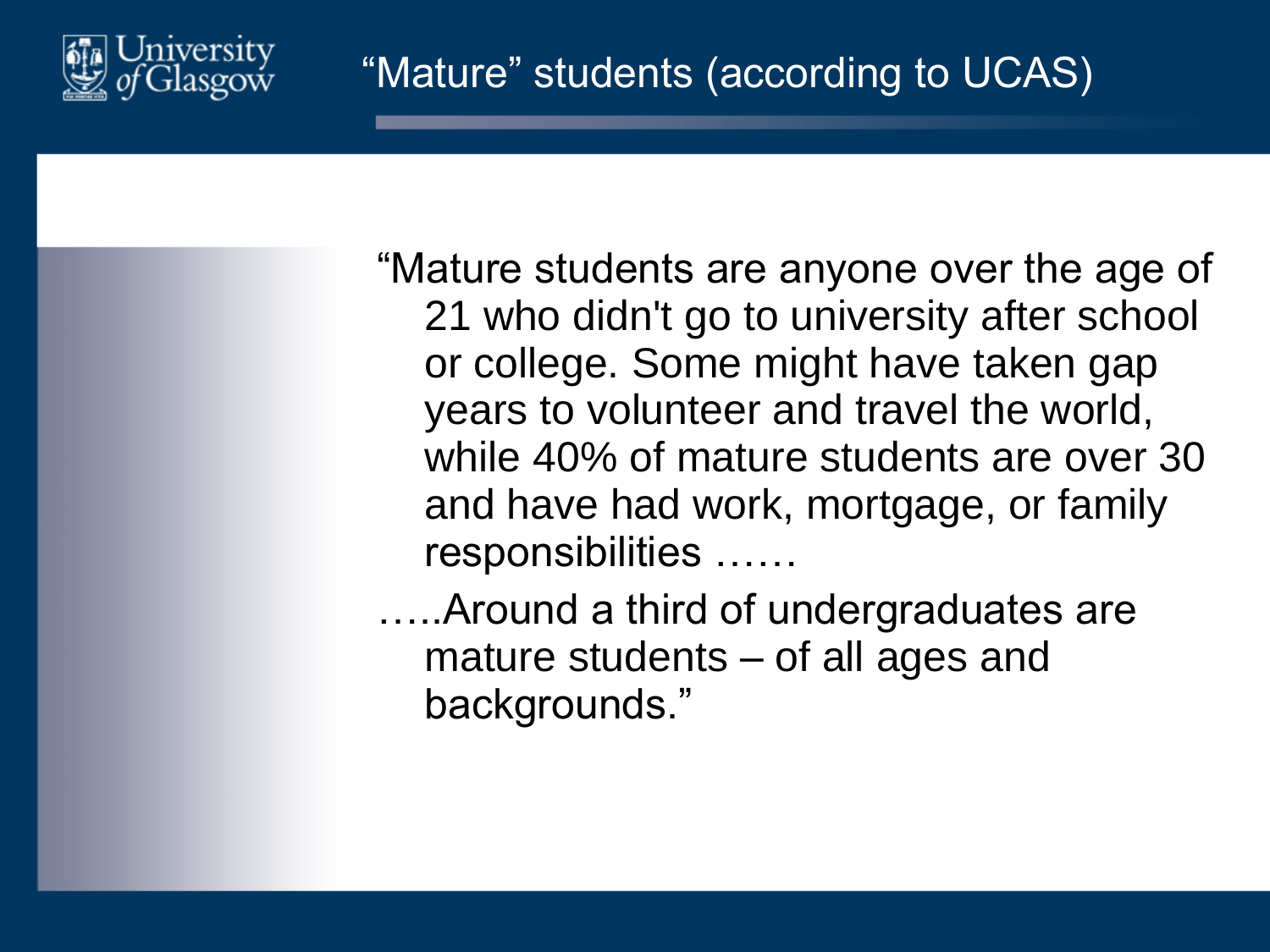

"Mature students are anyone over the age of 21 who didn't go to university after school or college. Some might have taken gap years to volunteer and travel the world, while 40% of mature students are over 30 and have had work, mortgage, or family responsibilities ……

…..Around a third of undergraduates are mature students – of all ages and backgrounds."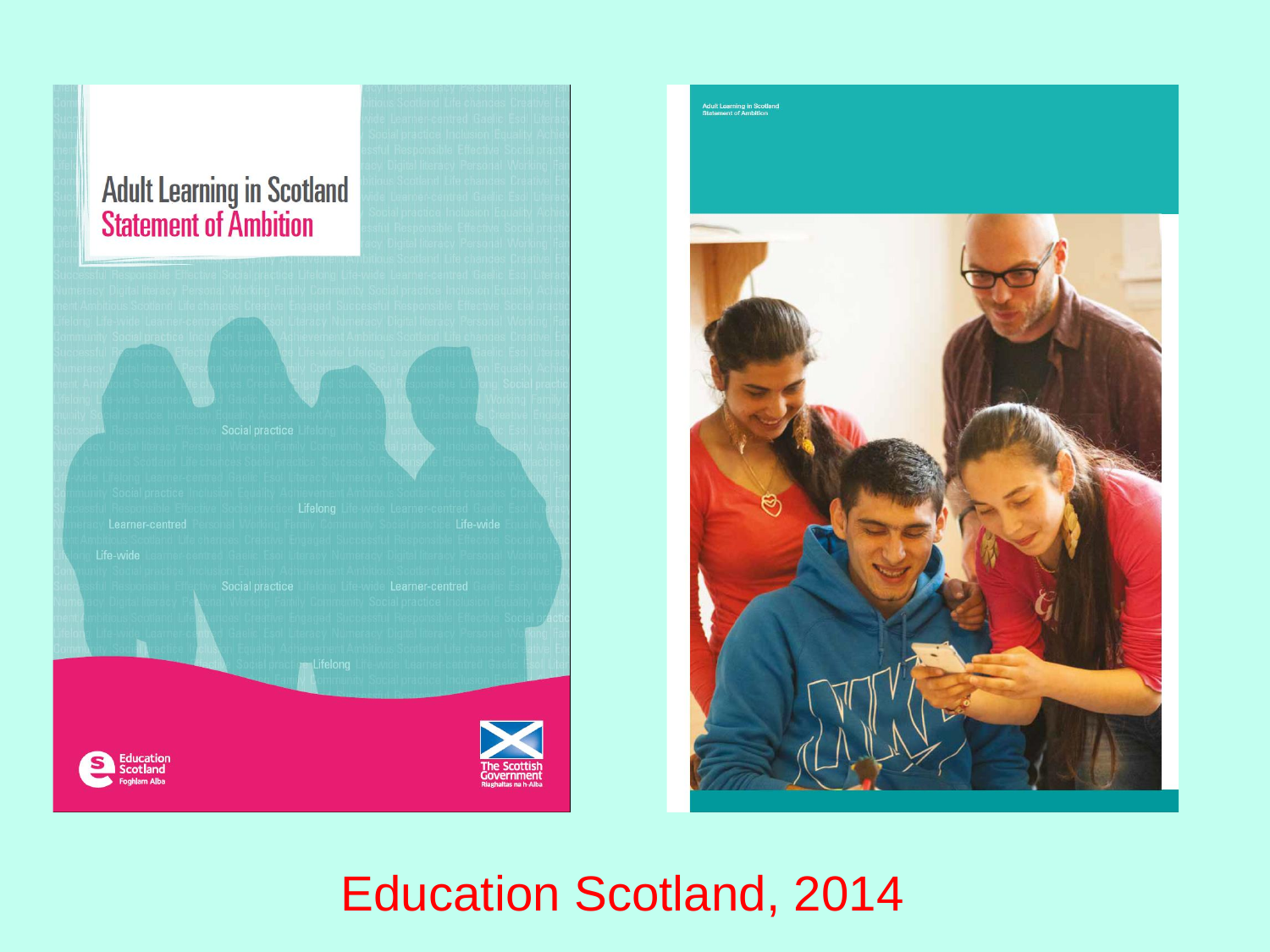# **Adult Learning in Scotland<br>Statement of Ambition**





**Adult Learning in Scotlar**<br>Statement of Ambition

## Education Scotland, 2014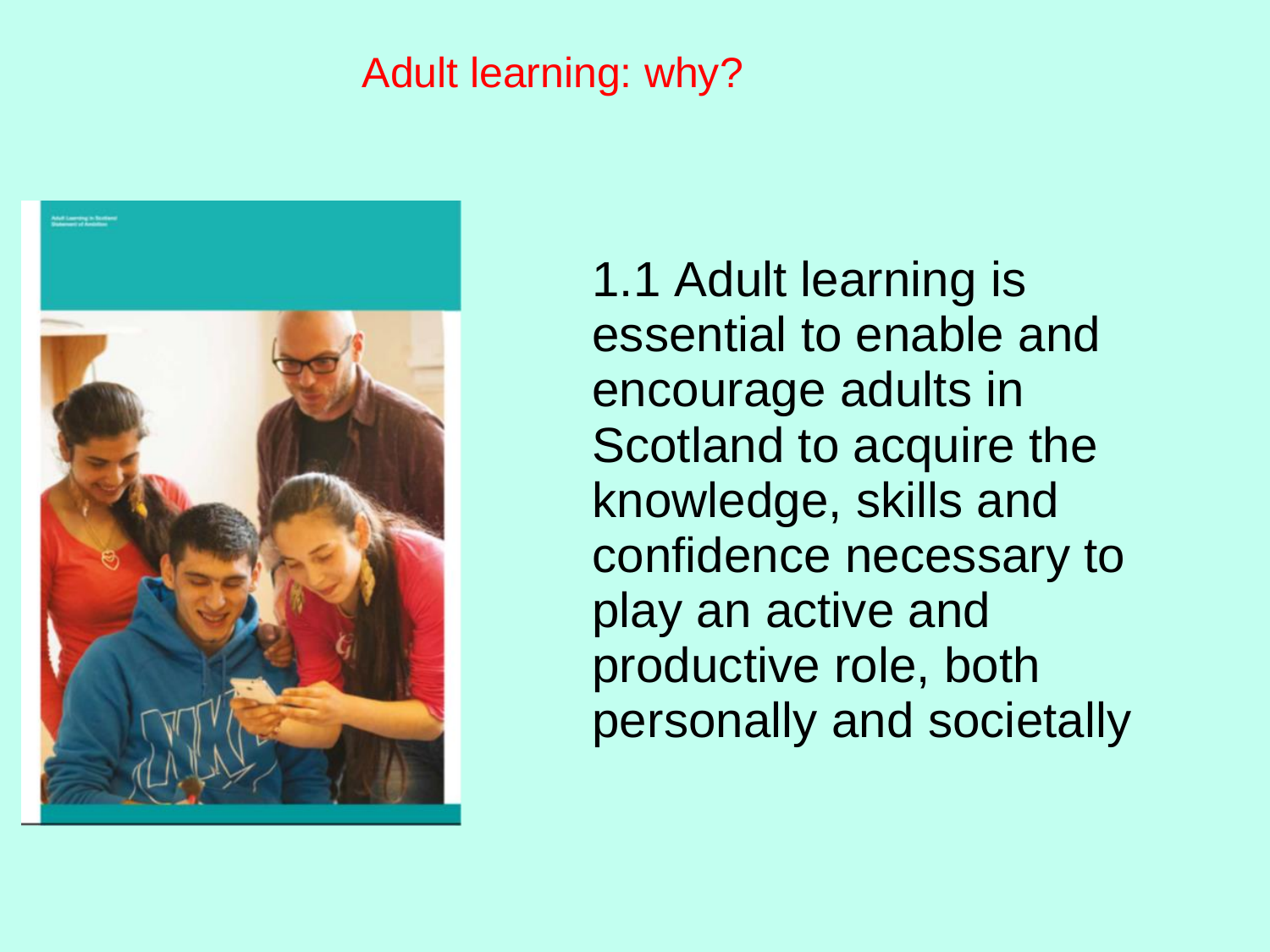#### Adult learning: why?



1.1 Adult learning is essential to enable and encourage adults in Scotland to acquire the knowledge, skills and confidence necessary to play an active and productive role, both personally and societally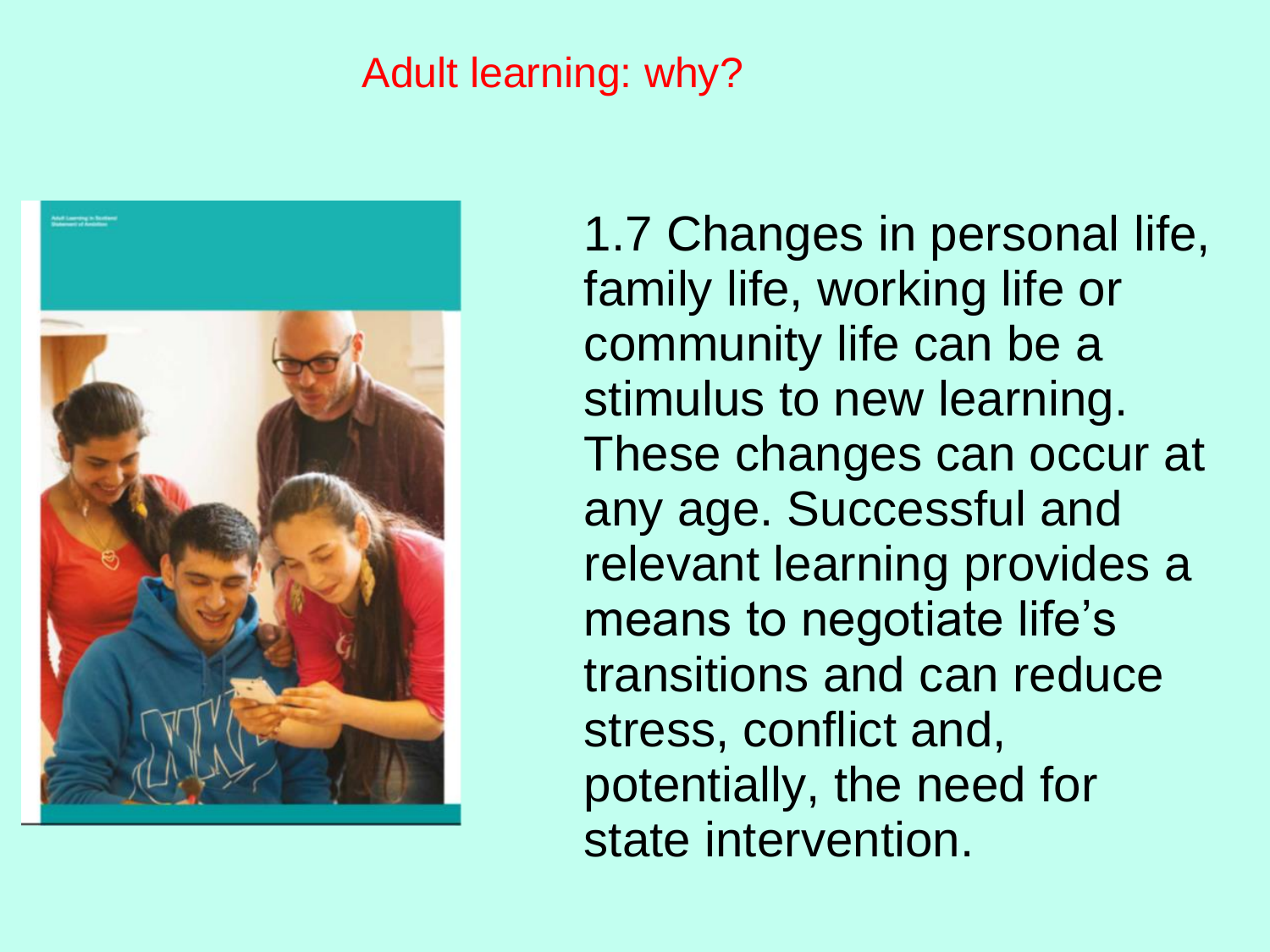#### Adult learning: why?



1.7 Changes in personal life, family life, working life or community life can be a stimulus to new learning. These changes can occur at any age. Successful and relevant learning provides a means to negotiate life's transitions and can reduce stress, conflict and, potentially, the need for state intervention.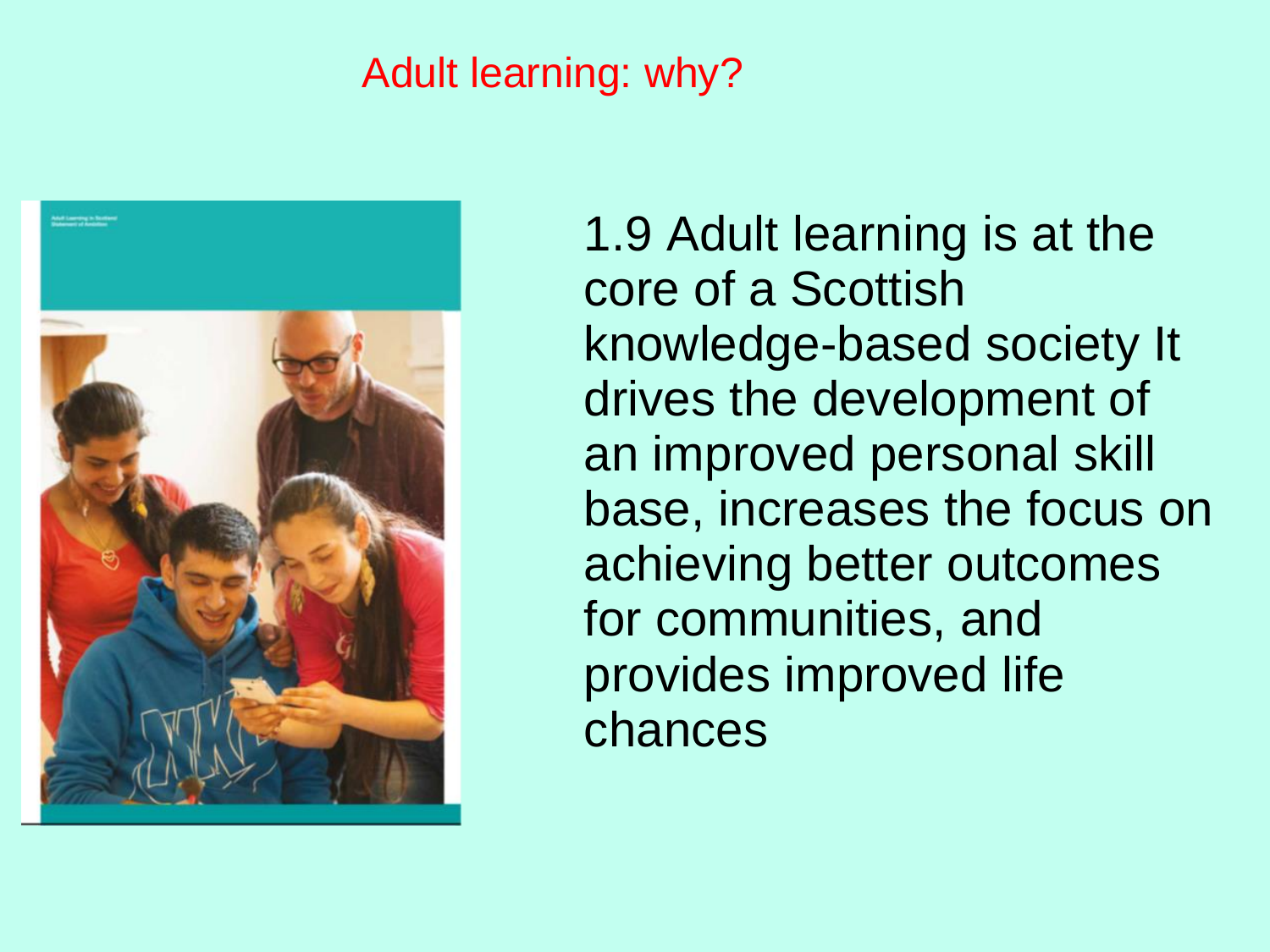#### Adult learning: why?



1.9 Adult learning is at the core of a Scottish knowledge-based society It drives the development of an improved personal skill base, increases the focus on achieving better outcomes for communities, and provides improved life chances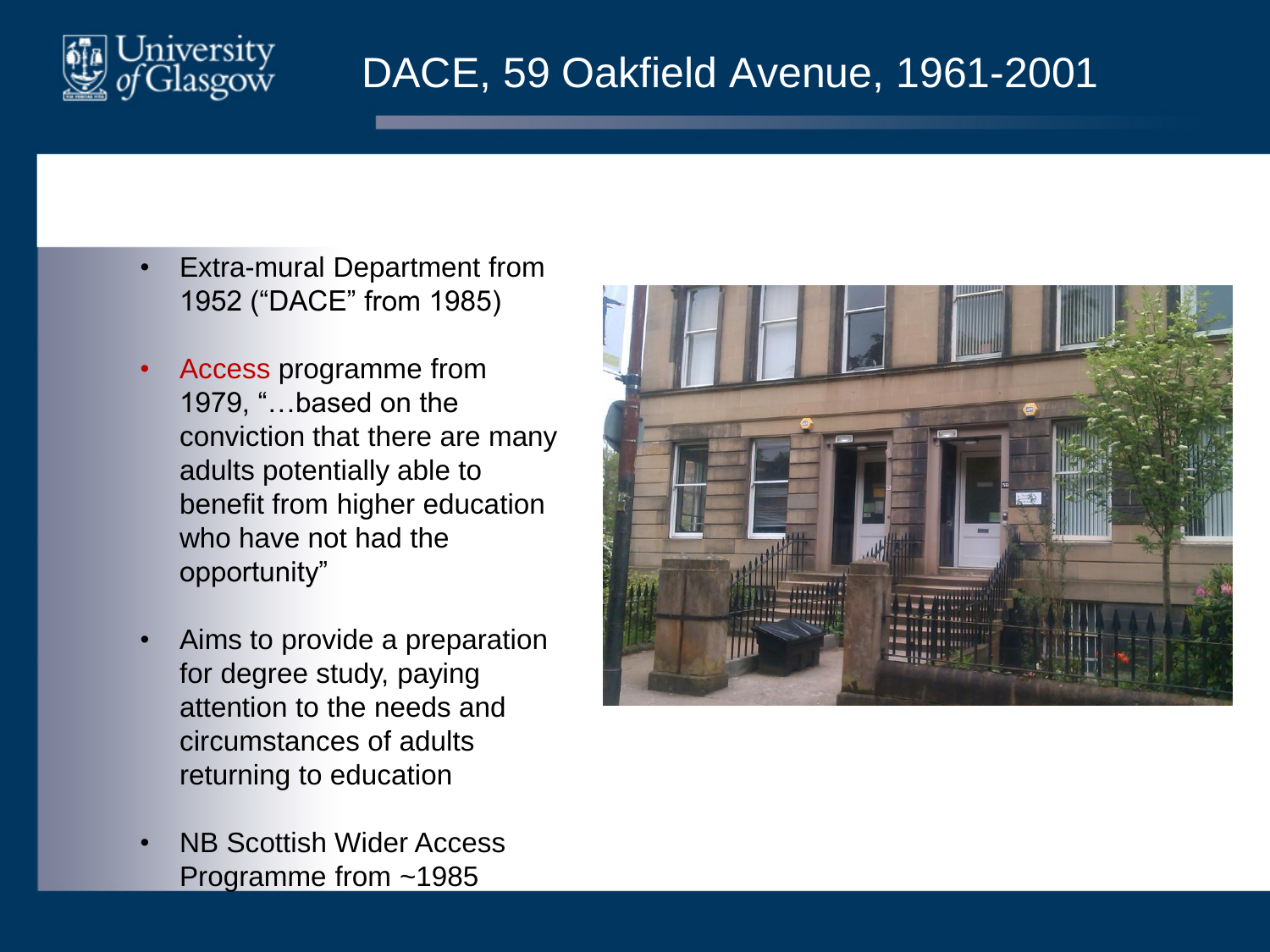

#### DACE, 59 Oakfield Avenue, 1961-2001

- Extra-mural Department from 1952 ("DACE" from 1985)
- Access programme from 1979, "…based on the conviction that there are many adults potentially able to benefit from higher education who have not had the opportunity"
- Aims to provide a preparation for degree study, paying attention to the needs and circumstances of adults returning to education
- NB Scottish Wider Access Programme from ~1985

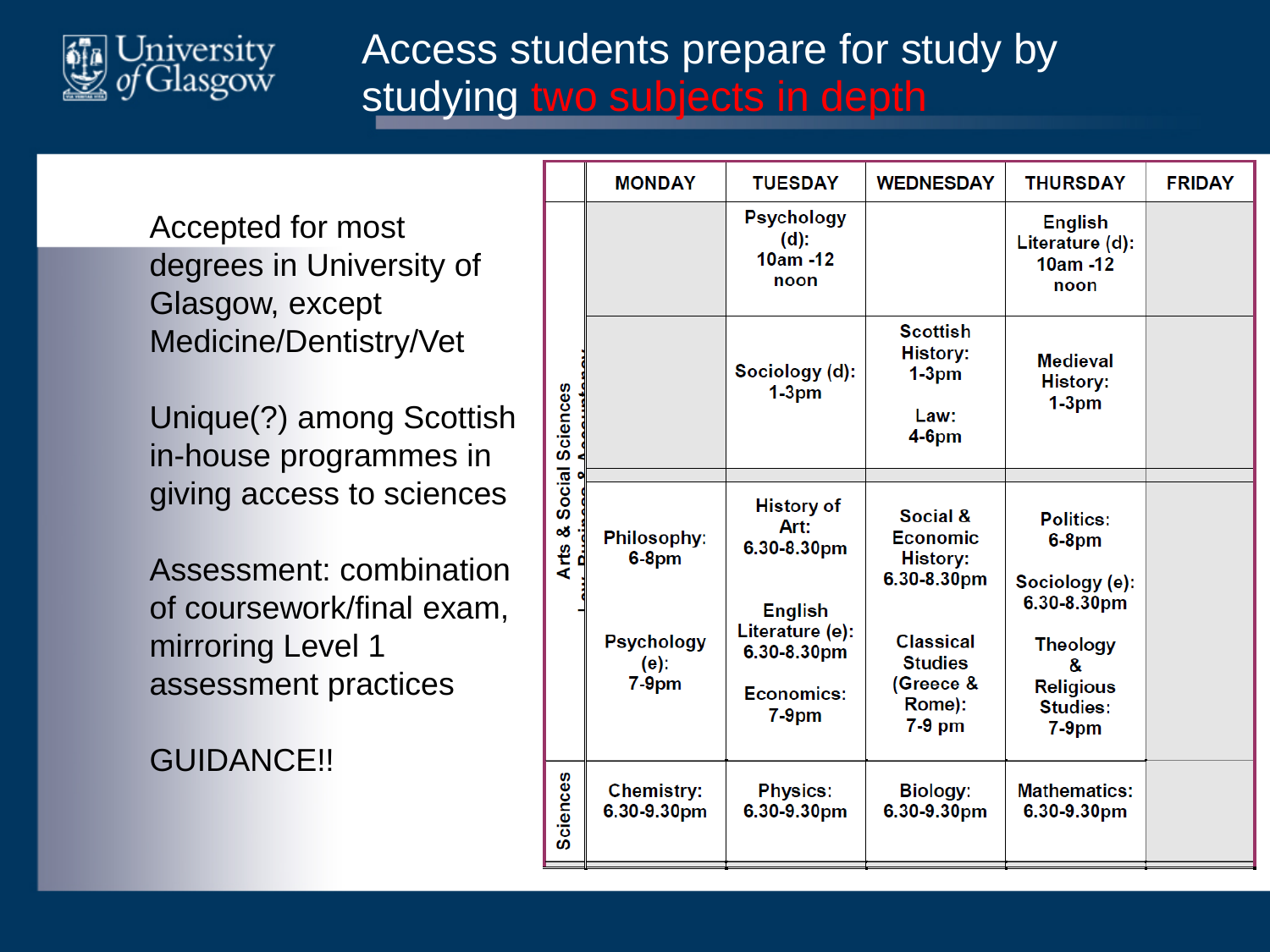

#### Access students prepare for study by studying two subjects in depth

Accepted for most degrees in University of Glasgow, except Medicine/Dentistry/Vet

Unique(?) among Scottish in-house programmes in giving access to sciences

Assessment: combination of coursework/final exam, mirroring Level 1 assessment practices

GUIDANCE!!

|                                      | <b>MONDAY</b>                                                    | <b>TUESDAY</b>                                                                                                         | <b>WEDNESDAY</b>                                                                                                                       | <b>THURSDAY</b>                                                                                                                          | <b>FRIDAY</b> |
|--------------------------------------|------------------------------------------------------------------|------------------------------------------------------------------------------------------------------------------------|----------------------------------------------------------------------------------------------------------------------------------------|------------------------------------------------------------------------------------------------------------------------------------------|---------------|
| Social Sciences<br>οğ<br><b>Arts</b> |                                                                  | <b>Psychology</b><br>$(d)$ :<br>$10am - 12$<br>noon                                                                    |                                                                                                                                        | <b>English</b><br>Literature (d):<br>10am -12<br>noon                                                                                    |               |
|                                      |                                                                  | Sociology (d):<br>$1-3pm$                                                                                              | <b>Scottish</b><br><b>History:</b><br>$1-3pm$<br>Law:<br>$4-6$ pm                                                                      | <b>Medieval</b><br><b>History:</b><br>$1-3pm$                                                                                            |               |
|                                      | <b>Philosophy:</b><br>$6-8$ pm<br>Psychology<br>(e):<br>$7-9$ pm | <b>History of</b><br>Art:<br>6.30-8.30pm<br><b>English</b><br>Literature (e):<br>6.30-8.30pm<br>Economics:<br>$7-9$ pm | Social &<br><b>Economic</b><br><b>History:</b><br>6.30-8.30pm<br><b>Classical</b><br><b>Studies</b><br>(Greece &<br>Rome):<br>$7-9$ pm | <b>Politics:</b><br>$6-8$ pm<br>Sociology (e):<br>6.30-8.30pm<br><b>Theology</b><br>8.<br><b>Religious</b><br><b>Studies:</b><br>$7-9pm$ |               |
| <b>Sciences</b>                      | <b>Chemistry:</b><br>6.30-9.30pm                                 | <b>Physics:</b><br>6.30-9.30pm                                                                                         | <b>Biology:</b><br>6.30-9.30pm                                                                                                         | <b>Mathematics:</b><br>6.30-9.30pm                                                                                                       |               |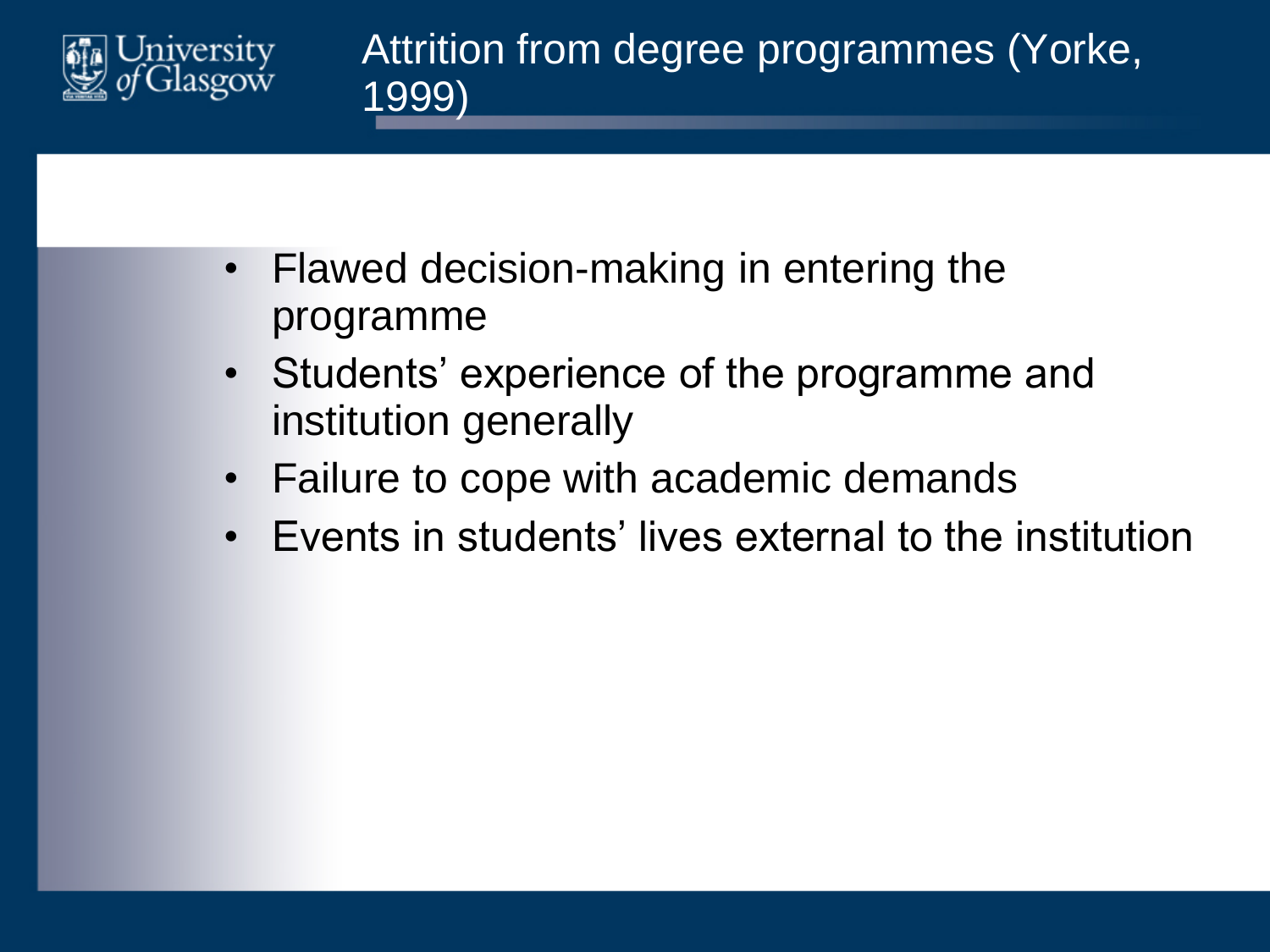

- Flawed decision-making in entering the programme
- Students' experience of the programme and institution generally
- Failure to cope with academic demands
- Events in students' lives external to the institution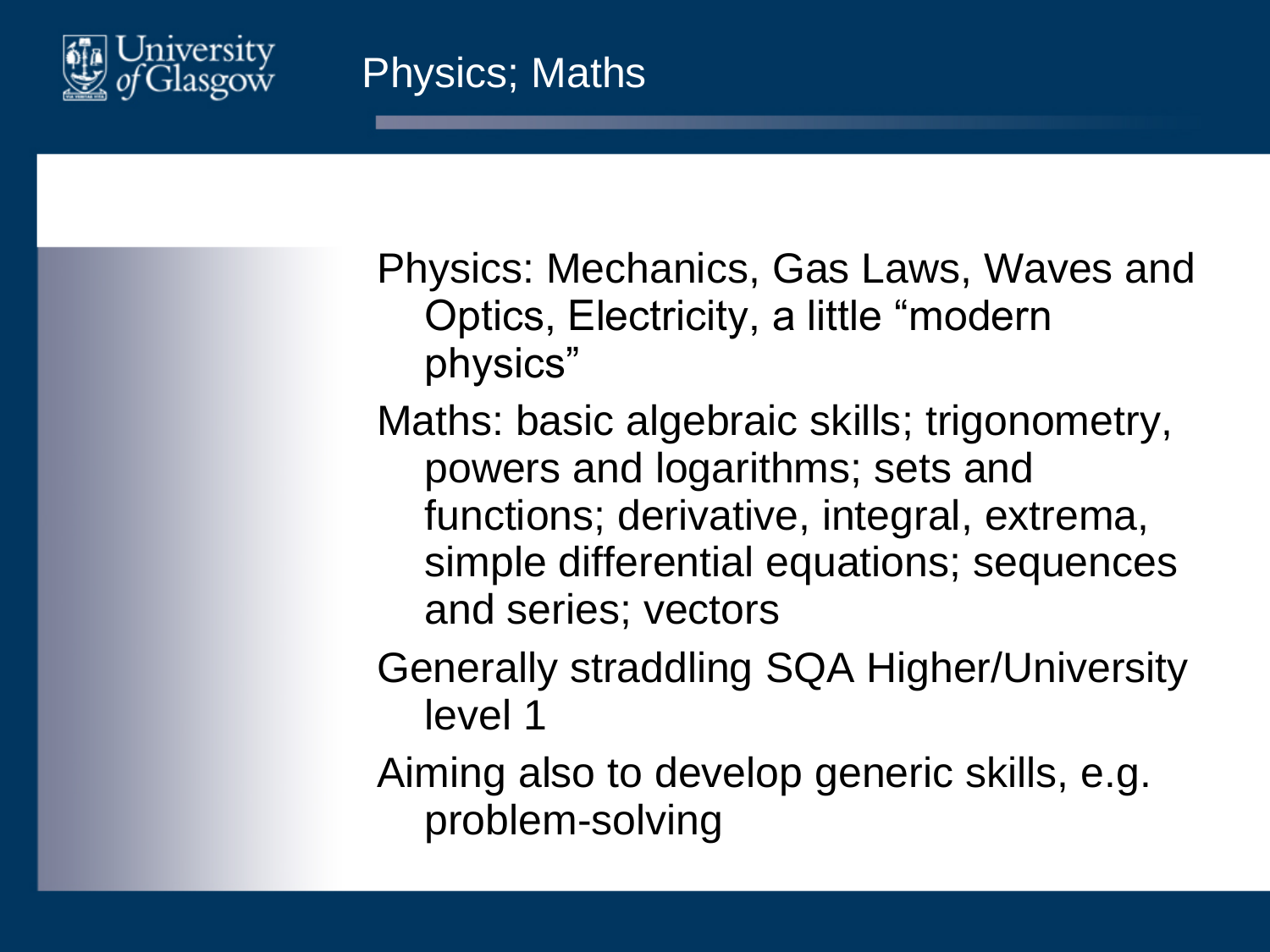

Physics: Mechanics, Gas Laws, Waves and Optics, Electricity, a little "modern physics"

Maths: basic algebraic skills; trigonometry, powers and logarithms; sets and functions; derivative, integral, extrema, simple differential equations; sequences and series; vectors

Generally straddling SQA Higher/University level 1

Aiming also to develop generic skills, e.g. problem-solving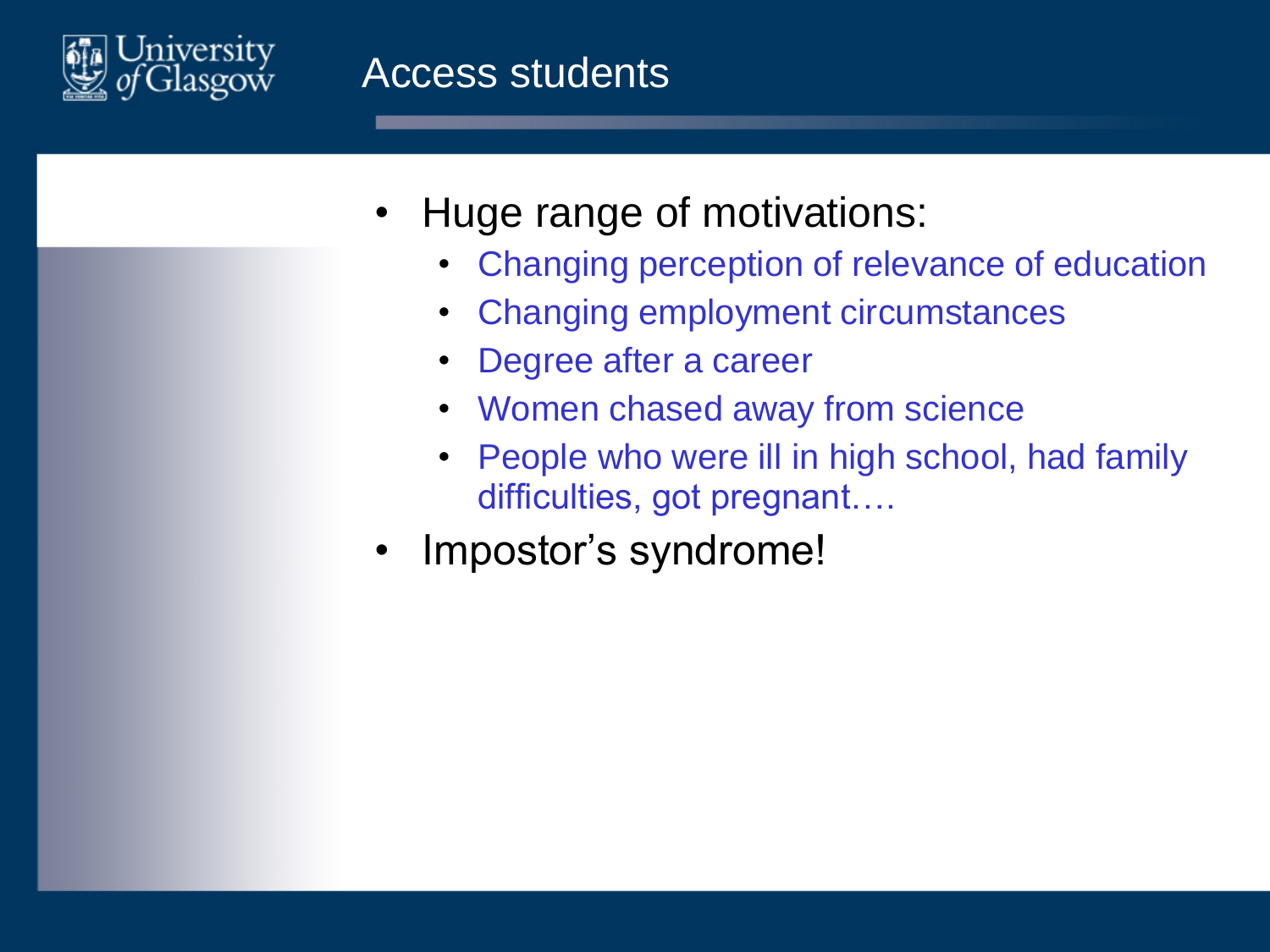

- Huge range of motivations:
	- Changing perception of relevance of education
	- Changing employment circumstances
	- Degree after a career
	- Women chased away from science
	- People who were ill in high school, had family difficulties, got pregnant….
- Impostor's syndrome!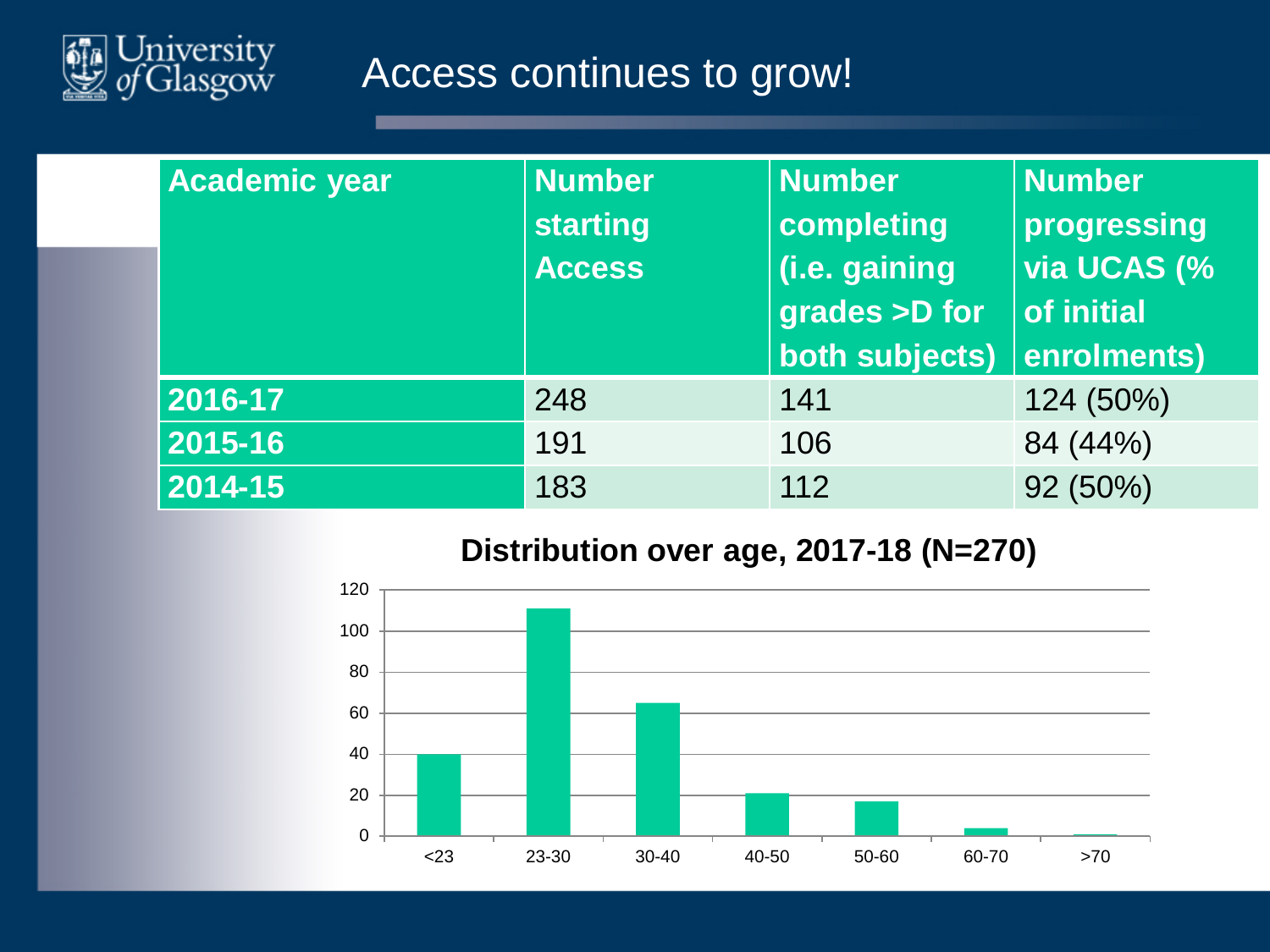

#### Access continues to grow!

| <b>Academic year</b> | <b>Number</b><br><b>starting</b><br><b>Access</b> | <b>Number</b><br>completing<br>(i.e. gaining<br>grades >D for<br>both subjects) | <b>Number</b><br>progressing<br>via UCAS (%<br>$\vert$ of initial<br>enrolments) |
|----------------------|---------------------------------------------------|---------------------------------------------------------------------------------|----------------------------------------------------------------------------------|
| 2016-17              | 248                                               | 141                                                                             | 124 (50%)                                                                        |
| 2015-16              | 191                                               | 106                                                                             | 84 (44%)                                                                         |
| 2014-15              | 183                                               | 112                                                                             | 92 (50%)                                                                         |

#### **Distribution over age, 2017-18 (N=270)**

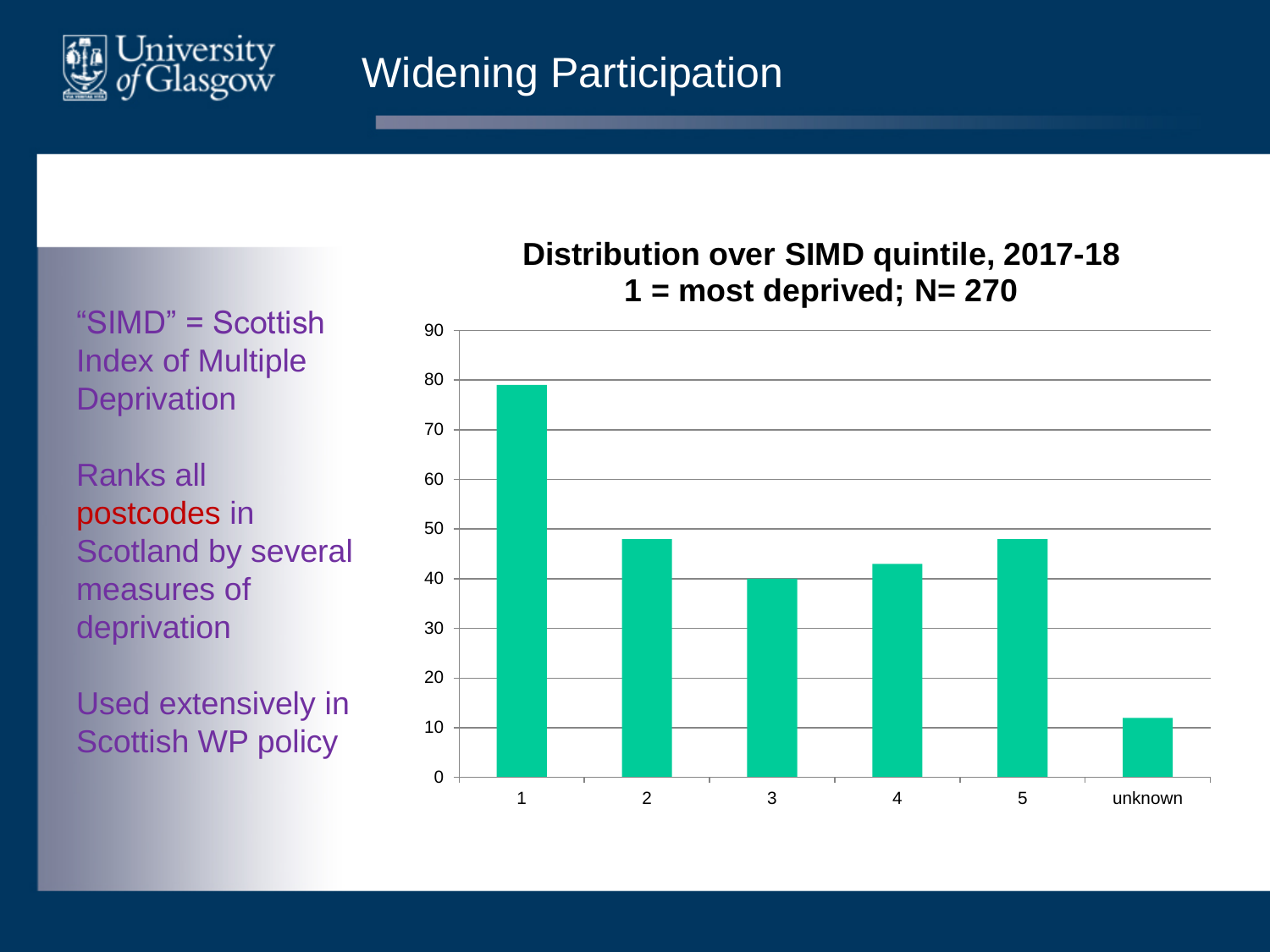

#### Widening Participation

"SIMD" = Scottish Index of Multiple **Deprivation** 

Ranks all postcodes in Scotland by several measures of deprivation

Used extensively in Scottish WP policy

#### **Distribution over SIMD quintile, 2017-18 1 = most deprived; N= 270**

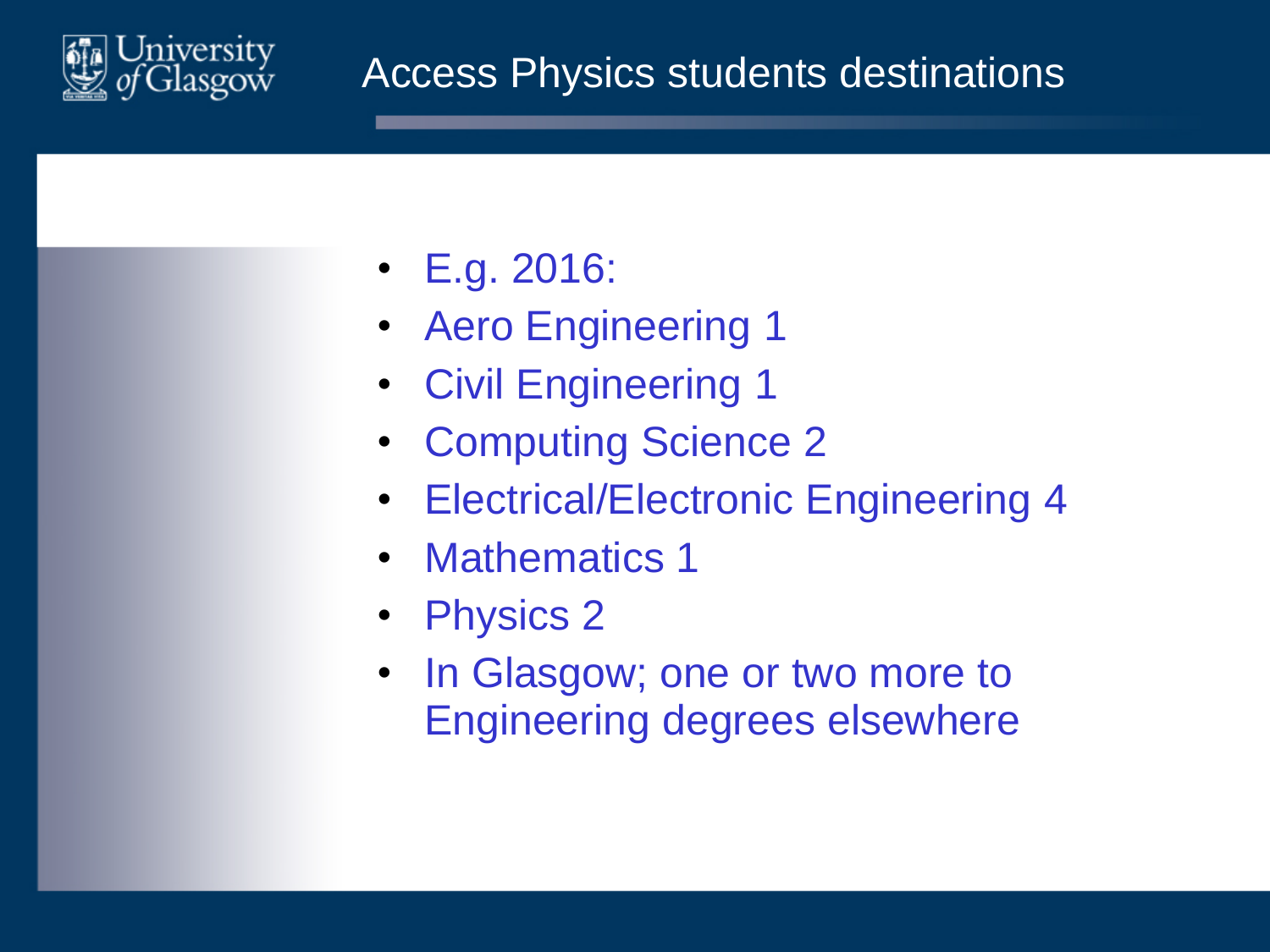

#### Access Physics students destinations

- E.g. 2016:
- Aero Engineering 1
- Civil Engineering 1
- Computing Science 2
- Electrical/Electronic Engineering 4
- Mathematics 1
- Physics 2
- In Glasgow; one or two more to Engineering degrees elsewhere